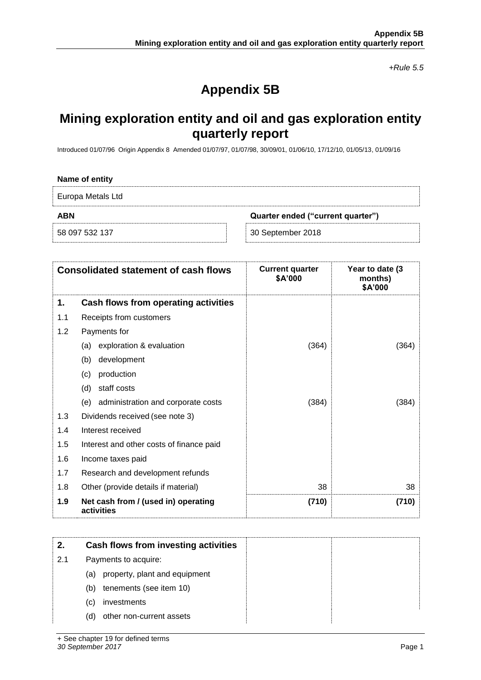*+Rule 5.5*

# **Appendix 5B**

## **Mining exploration entity and oil and gas exploration entity quarterly report**

Introduced 01/07/96 Origin Appendix 8 Amended 01/07/97, 01/07/98, 30/09/01, 01/06/10, 17/12/10, 01/05/13, 01/09/16

| Name of entity                                  |                   |  |
|-------------------------------------------------|-------------------|--|
| Europa Metals Ltd                               |                   |  |
| <b>ABN</b><br>Quarter ended ("current quarter") |                   |  |
| 58 097 532 137                                  | 30 September 2018 |  |

|     | <b>Consolidated statement of cash flows</b>       | <b>Current quarter</b><br>\$A'000 | Year to date (3<br>months)<br>\$A'000 |
|-----|---------------------------------------------------|-----------------------------------|---------------------------------------|
| 1.  | Cash flows from operating activities              |                                   |                                       |
| 1.1 | Receipts from customers                           |                                   |                                       |
| 1.2 | Payments for                                      |                                   |                                       |
|     | exploration & evaluation<br>(a)                   | (364)                             | (364)                                 |
|     | development<br>(b)                                |                                   |                                       |
|     | production<br>(c)                                 |                                   |                                       |
|     | staff costs<br>(d)                                |                                   |                                       |
|     | administration and corporate costs<br>(e)         | (384)                             | (384)                                 |
| 1.3 | Dividends received (see note 3)                   |                                   |                                       |
| 1.4 | Interest received                                 |                                   |                                       |
| 1.5 | Interest and other costs of finance paid          |                                   |                                       |
| 1.6 | Income taxes paid                                 |                                   |                                       |
| 1.7 | Research and development refunds                  |                                   |                                       |
| 1.8 | Other (provide details if material)               | 38                                | 38                                    |
| 1.9 | Net cash from / (used in) operating<br>activities | (710)                             | (710)                                 |

| 2.  | Cash flows from investing activities |  |
|-----|--------------------------------------|--|
| 2.1 | Payments to acquire:                 |  |
|     | property, plant and equipment<br>(a) |  |
|     | tenements (see item 10)<br>(b)       |  |
|     | investments<br>(C)                   |  |
|     | other non-current assets<br>(d)      |  |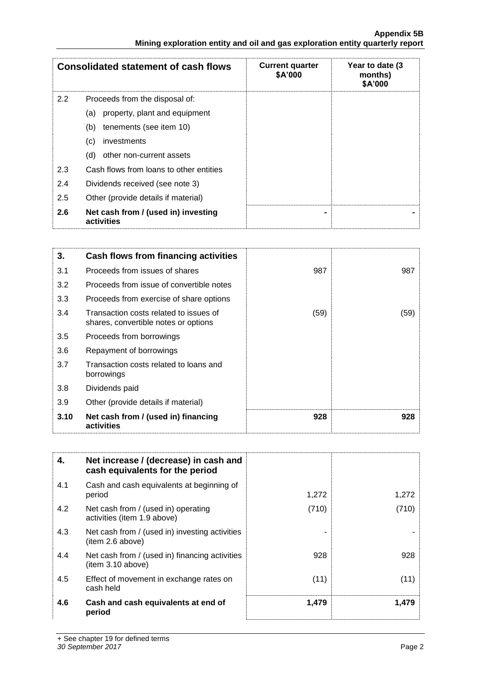|     | <b>Consolidated statement of cash flows</b>       | <b>Current quarter</b><br>\$A'000 | Year to date (3<br>months)<br>\$A'000 |
|-----|---------------------------------------------------|-----------------------------------|---------------------------------------|
| 2.2 | Proceeds from the disposal of:                    |                                   |                                       |
|     | property, plant and equipment<br>(a)              |                                   |                                       |
|     | tenements (see item 10)<br>(b)                    |                                   |                                       |
|     | investments<br>(c)                                |                                   |                                       |
|     | other non-current assets<br>(d)                   |                                   |                                       |
| 2.3 | Cash flows from loans to other entities           |                                   |                                       |
| 2.4 | Dividends received (see note 3)                   |                                   |                                       |
| 2.5 | Other (provide details if material)               |                                   |                                       |
| 2.6 | Net cash from / (used in) investing<br>activities |                                   |                                       |

| 3.   | Cash flows from financing activities                                           |      |      |
|------|--------------------------------------------------------------------------------|------|------|
| 3.1  | Proceeds from issues of shares                                                 | 987  | 987  |
| 3.2  | Proceeds from issue of convertible notes                                       |      |      |
| 3.3  | Proceeds from exercise of share options                                        |      |      |
| 3.4  | Transaction costs related to issues of<br>shares, convertible notes or options | (59) | (59) |
| 3.5  | Proceeds from borrowings                                                       |      |      |
| 3.6  | Repayment of borrowings                                                        |      |      |
| 3.7  | Transaction costs related to loans and<br>borrowings                           |      |      |
| 3.8  | Dividends paid                                                                 |      |      |
| 3.9  | Other (provide details if material)                                            |      |      |
| 3.10 | Net cash from / (used in) financing<br>activities                              | 928  | 928  |

| 4.  | Net increase / (decrease) in cash and<br>cash equivalents for the period |       |       |
|-----|--------------------------------------------------------------------------|-------|-------|
| 4.1 | Cash and cash equivalents at beginning of<br>period                      | 1,272 | 1,272 |
| 4.2 | Net cash from / (used in) operating<br>activities (item 1.9 above)       | (710) | (710) |
| 4.3 | Net cash from / (used in) investing activities<br>(item 2.6 above)       |       |       |
| 4.4 | Net cash from / (used in) financing activities<br>(item 3.10 above)      | 928   | 928   |
| 4.5 | Effect of movement in exchange rates on<br>cash held                     | (11)  | (11)  |
| 4.6 | Cash and cash equivalents at end of<br>period                            | 1,479 | 1,479 |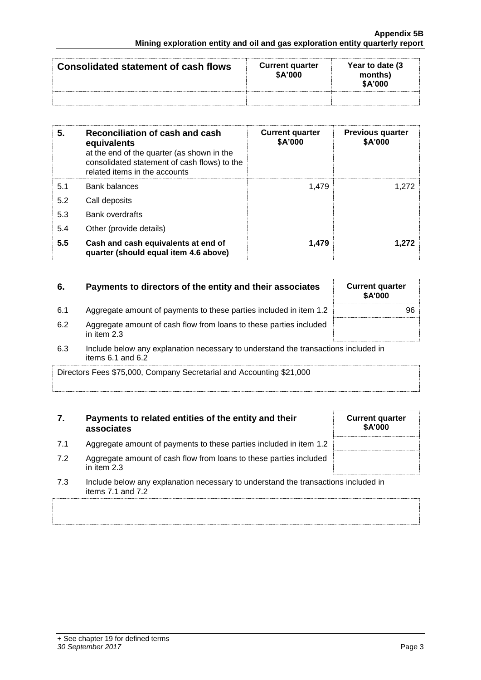| <b>Consolidated statement of cash flows</b> | <b>Current quarter</b><br>\$A'000 | Year to date (3)<br>months)<br>\$A'000 |
|---------------------------------------------|-----------------------------------|----------------------------------------|
|                                             |                                   |                                        |

| 5.  | Reconciliation of cash and cash<br>equivalents<br>at the end of the quarter (as shown in the<br>consolidated statement of cash flows) to the<br>related items in the accounts | <b>Current quarter</b><br>\$A'000 | <b>Previous quarter</b><br>\$A'000 |
|-----|-------------------------------------------------------------------------------------------------------------------------------------------------------------------------------|-----------------------------------|------------------------------------|
| 5.1 | <b>Bank balances</b>                                                                                                                                                          | 1.479                             | 1.272                              |
| 5.2 | Call deposits                                                                                                                                                                 |                                   |                                    |
| 5.3 | <b>Bank overdrafts</b>                                                                                                                                                        |                                   |                                    |
| 5.4 | Other (provide details)                                                                                                                                                       |                                   |                                    |
| 5.5 | Cash and cash equivalents at end of<br>quarter (should equal item 4.6 above)                                                                                                  | 1.479                             | 1.272                              |

| 6.  | Payments to directors of the entity and their associates                          | <b>Current quarter</b><br><b>\$A'000</b> |
|-----|-----------------------------------------------------------------------------------|------------------------------------------|
| 6.1 | Aggregate amount of payments to these parties included in item 1.2                | 96                                       |
| 6.2 | Aggregate amount of cash flow from loans to these parties included<br>in item 2.3 |                                          |

6.3 Include below any explanation necessary to understand the transactions included in items 6.1 and 6.2

Directors Fees \$75,000, Company Secretarial and Accounting \$21,000

### **7. Payments to related entities of the entity and their associates**

- 7.1 Aggregate amount of payments to these parties included in item
- 7.2 Aggregate amount of cash flow from loans to these parties included in item 2.3
- 7.3 Include below any explanation necessary to understand the transactions included in items 7.1 and 7.2

|     | <b>Current quarter</b><br>\$A'000 |
|-----|-----------------------------------|
| 1.2 |                                   |
| ded |                                   |
|     | ationa ingludad in                |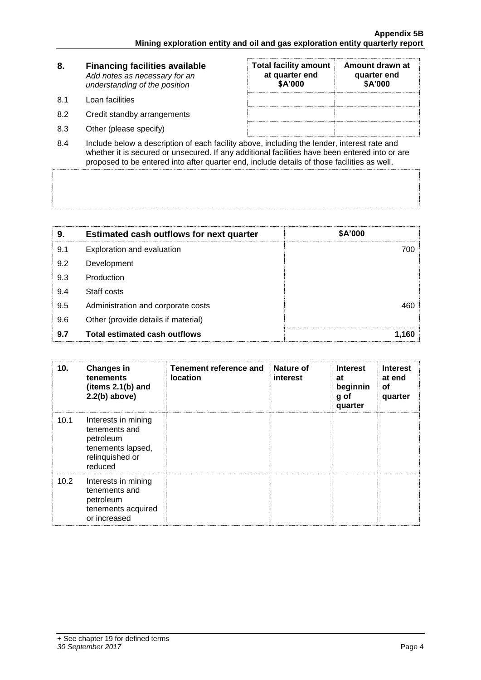| 8.  | <b>Financing facilities available</b><br>Add notes as necessary for an<br>understanding of the position | <b>Total facility amount</b><br>at quarter end<br>\$A'000 | Amount drawn at<br>quarter end<br>\$A'000 |
|-----|---------------------------------------------------------------------------------------------------------|-----------------------------------------------------------|-------------------------------------------|
| 8.1 | Loan facilities                                                                                         |                                                           |                                           |
| 8.2 | Credit standby arrangements                                                                             |                                                           |                                           |
| 8.3 | Other (please specify)                                                                                  |                                                           |                                           |

8.4 Include below a description of each facility above, including the lender, interest rate and whether it is secured or unsecured. If any additional facilities have been entered into or are proposed to be entered into after quarter end, include details of those facilities as well.

| 9.  | <b>Estimated cash outflows for next quarter</b> | \$A'000 |
|-----|-------------------------------------------------|---------|
| 9.1 | Exploration and evaluation                      | 700     |
| 9.2 | Development                                     |         |
| 9.3 | Production                                      |         |
| 9.4 | Staff costs                                     |         |
| 9.5 | Administration and corporate costs              | 460     |
| 9.6 | Other (provide details if material)             |         |
| 9.7 | <b>Total estimated cash outflows</b>            | 1.160   |

| 10.  | <b>Changes in</b><br>tenements<br>(items $2.1(b)$ and<br>$2.2(b)$ above)                             | Tenement reference and<br><b>location</b> | Nature of<br>interest | <b>Interest</b><br>at<br>beginnin<br>g of<br>quarter | <b>Interest</b><br>at end<br>οf<br>quarter |
|------|------------------------------------------------------------------------------------------------------|-------------------------------------------|-----------------------|------------------------------------------------------|--------------------------------------------|
| 10.1 | Interests in mining<br>tenements and<br>petroleum<br>tenements lapsed,<br>relinquished or<br>reduced |                                           |                       |                                                      |                                            |
| 10.2 | Interests in mining<br>tenements and<br>petroleum<br>tenements acquired<br>or increased              |                                           |                       |                                                      |                                            |